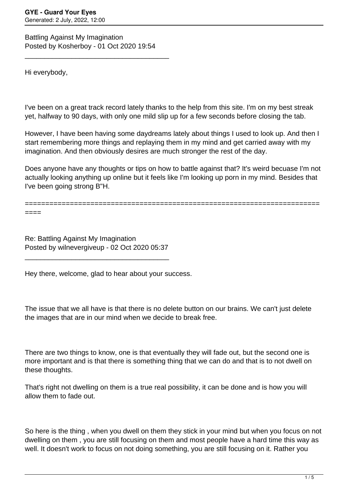Battling Against My Imagination Posted by Kosherboy - 01 Oct 2020 19:54

\_\_\_\_\_\_\_\_\_\_\_\_\_\_\_\_\_\_\_\_\_\_\_\_\_\_\_\_\_\_\_\_\_\_\_\_\_

Hi everybody,

I've been on a great track record lately thanks to the help from this site. I'm on my best streak yet, halfway to 90 days, with only one mild slip up for a few seconds before closing the tab.

However, I have been having some daydreams lately about things I used to look up. And then I start remembering more things and replaying them in my mind and get carried away with my imagination. And then obviously desires are much stronger the rest of the day.

Does anyone have any thoughts or tips on how to battle against that? It's weird becuase I'm not actually looking anything up online but it feels like I'm looking up porn in my mind. Besides that I've been going strong B"H.

========================================================================

====

Re: Battling Against My Imagination Posted by wilnevergiveup - 02 Oct 2020 05:37

\_\_\_\_\_\_\_\_\_\_\_\_\_\_\_\_\_\_\_\_\_\_\_\_\_\_\_\_\_\_\_\_\_\_\_\_\_

Hey there, welcome, glad to hear about your success.

The issue that we all have is that there is no delete button on our brains. We can't just delete the images that are in our mind when we decide to break free.

There are two things to know, one is that eventually they will fade out, but the second one is more important and is that there is something thing that we can do and that is to not dwell on these thoughts.

That's right not dwelling on them is a true real possibility, it can be done and is how you will allow them to fade out.

So here is the thing , when you dwell on them they stick in your mind but when you focus on not dwelling on them , you are still focusing on them and most people have a hard time this way as well. It doesn't work to focus on not doing something, you are still focusing on it. Rather you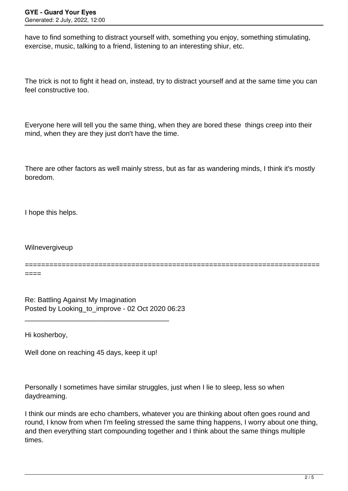have to find something to distract yourself with, something you enjoy, something stimulating, exercise, music, talking to a friend, listening to an interesting shiur, etc.

The trick is not to fight it head on, instead, try to distract yourself and at the same time you can feel constructive too.

Everyone here will tell you the same thing, when they are bored these things creep into their mind, when they are they just don't have the time.

There are other factors as well mainly stress, but as far as wandering minds, I think it's mostly boredom.

I hope this helps.

Wilnevergiveup

======================================================================== ====

Re: Battling Against My Imagination Posted by Looking\_to\_improve - 02 Oct 2020 06:23

\_\_\_\_\_\_\_\_\_\_\_\_\_\_\_\_\_\_\_\_\_\_\_\_\_\_\_\_\_\_\_\_\_\_\_\_\_

Hi kosherboy,

Well done on reaching 45 days, keep it up!

Personally I sometimes have similar struggles, just when I lie to sleep, less so when daydreaming.

I think our minds are echo chambers, whatever you are thinking about often goes round and round, I know from when I'm feeling stressed the same thing happens, I worry about one thing, and then everything start compounding together and I think about the same things multiple times.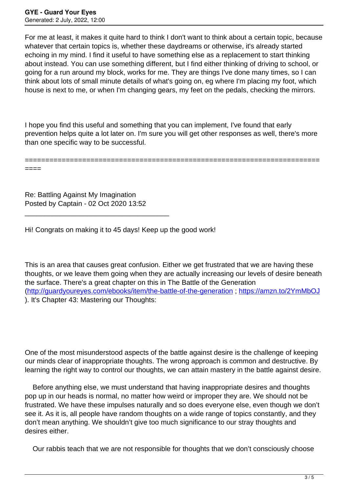For me at least, it makes it quite hard to think I don't want to think about a certain topic, because whatever that certain topics is, whether these daydreams or otherwise, it's already started echoing in my mind. I find it useful to have something else as a replacement to start thinking about instead. You can use something different, but I find either thinking of driving to school, or going for a run around my block, works for me. They are things I've done many times, so I can think about lots of small minute details of what's going on, eg where I'm placing my foot, which house is next to me, or when I'm changing gears, my feet on the pedals, checking the mirrors.

I hope you find this useful and something that you can implement, I've found that early prevention helps quite a lot later on. I'm sure you will get other responses as well, there's more than one specific way to be successful.

========================================================================

Re: Battling Against My Imagination Posted by Captain - 02 Oct 2020 13:52

\_\_\_\_\_\_\_\_\_\_\_\_\_\_\_\_\_\_\_\_\_\_\_\_\_\_\_\_\_\_\_\_\_\_\_\_\_

====

Hi! Congrats on making it to 45 days! Keep up the good work!

This is an area that causes great confusion. Either we get frustrated that we are having these thoughts, or we leave them going when they are actually increasing our levels of desire beneath the surface. There's a great chapter on this in The Battle of the Generation (<http://guardyoureyes.com/ebooks/item/the-battle-of-the-generation>; <https://amzn.to/2YmMbOJ> ). It's Chapter 43: Mastering our Thoughts:

One of the most misunderstood aspects of the battle against desire is the challenge of keeping our minds clear of inappropriate thoughts. The wrong approach is common and destructive. By learning the right way to control our thoughts, we can attain mastery in the battle against desire.

 Before anything else, we must understand that having inappropriate desires and thoughts pop up in our heads is normal, no matter how weird or improper they are. We should not be frustrated. We have these impulses naturally and so does everyone else, even though we don't see it. As it is, all people have random thoughts on a wide range of topics constantly, and they don't mean anything. We shouldn't give too much significance to our stray thoughts and desires either.

Our rabbis teach that we are not responsible for thoughts that we don't consciously choose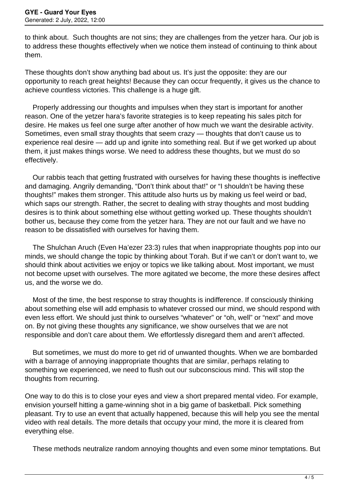to think about. Such thoughts are not sins; they are challenges from the yetzer hara. Our job is to address these thoughts effectively when we notice them instead of continuing to think about them.

These thoughts don't show anything bad about us. It's just the opposite: they are our opportunity to reach great heights! Because they can occur frequently, it gives us the chance to achieve countless victories. This challenge is a huge gift.

 Properly addressing our thoughts and impulses when they start is important for another reason. One of the yetzer hara's favorite strategies is to keep repeating his sales pitch for desire. He makes us feel one surge after another of how much we want the desirable activity. Sometimes, even small stray thoughts that seem crazy — thoughts that don't cause us to experience real desire — add up and ignite into something real. But if we get worked up about them, it just makes things worse. We need to address these thoughts, but we must do so effectively.

 Our rabbis teach that getting frustrated with ourselves for having these thoughts is ineffective and damaging. Angrily demanding, "Don't think about that!" or "I shouldn't be having these thoughts!" makes them stronger. This attitude also hurts us by making us feel weird or bad, which saps our strength. Rather, the secret to dealing with stray thoughts and most budding desires is to think about something else without getting worked up. These thoughts shouldn't bother us, because they come from the yetzer hara. They are not our fault and we have no reason to be dissatisfied with ourselves for having them.

 The Shulchan Aruch (Even Ha'ezer 23:3) rules that when inappropriate thoughts pop into our minds, we should change the topic by thinking about Torah. But if we can't or don't want to, we should think about activities we enjoy or topics we like talking about. Most important, we must not become upset with ourselves. The more agitated we become, the more these desires affect us, and the worse we do.

 Most of the time, the best response to stray thoughts is indifference. If consciously thinking about something else will add emphasis to whatever crossed our mind, we should respond with even less effort. We should just think to ourselves "whatever" or "oh, well" or "next" and move on. By not giving these thoughts any significance, we show ourselves that we are not responsible and don't care about them. We effortlessly disregard them and aren't affected.

 But sometimes, we must do more to get rid of unwanted thoughts. When we are bombarded with a barrage of annoying inappropriate thoughts that are similar, perhaps relating to something we experienced, we need to flush out our subconscious mind. This will stop the thoughts from recurring.

One way to do this is to close your eyes and view a short prepared mental video. For example, envision yourself hitting a game-winning shot in a big game of basketball. Pick something pleasant. Try to use an event that actually happened, because this will help you see the mental video with real details. The more details that occupy your mind, the more it is cleared from everything else.

These methods neutralize random annoying thoughts and even some minor temptations. But